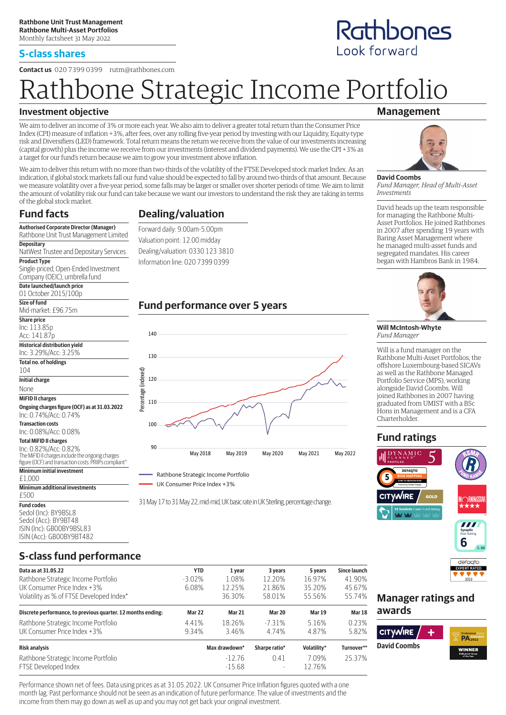#### **S-class shares**

**Contact us** 020 7399 0399 rutm@rathbones.com

# oone Strategic Income Portfolio

### **Investment objective**

We aim to deliver an income of 3% or more each year. We also aim to deliver a greater total return than the Consumer Price Index (CPI) measure of inflation +3%, after fees, over any rolling five-year period by investing with our Liquidity, Equity-type risk and Diversifiers (LED) framework. Total return means the return we receive from the value of our investments increasing (capital growth) plus the income we receive from our investments (interest and dividend payments). We use the CPI +3% as a target for our fund's return because we aim to grow your investment above inflation.

We aim to deliver this return with no more than two-thirds of the volatility of the FTSE Developed stock market Index. As an indication, if global stock markets fall our fund value should be expected to fall by around two-thirds of that amount. Because we measure volatility over a five-year period, some falls may be larger or smaller over shorter periods of time. We aim to limit the amount of volatility risk our fund can take because we want our investors to understand the risk they are taking in terms of the global stock market.

## **Fund facts**

# **Dealing/valuation** Forward daily: 9.00am-5.00pm

**Authorised Corporate Director (Manager)** Rathbone Unit Trust Management Limited **Depositary** NatWest Trustee and Depositary Services **Product Type**

Single-priced, Open-Ended Investment Company (OEIC), umbrella fund

#### **Date launched/launch price** 01 October 2015/100p

| AT ACTODEI SATD\ TAAD                         |
|-----------------------------------------------|
| Size of fund                                  |
| Mid-market: £96.75m                           |
| <b>Share price</b>                            |
| Inc: 113.85p                                  |
| Acc: 141.87p                                  |
| <b>Historical distribution yield</b>          |
| Inc: 3.29%/Acc: 3.25%                         |
| Total no. of holdings                         |
| 104                                           |
| <b>Initial charge</b>                         |
| None                                          |
| <b>MiFID II charges</b>                       |
| Ongoing charges figure (OCF) as at 31.03.2022 |
| Inc: 0.74%/Acc: 0.74%                         |
| <b>Transaction costs</b>                      |
| Inc: 0.08%/Acc: 0.08%                         |
| <b>Total MiFID II charges</b>                 |
| $ln c \cap 0.000$ $ln c c \cap 0.000$         |

Inc: 0.82%/Acc: 0.82% The MiFID II charges include the ongoing charges

#### figure (OCF) and transaction costs. PRIIPs compliant^ **Minimum initial investment**

#### £1,000

#### **Minimum additional investments**

£500 **Fund codes** Sedol (Inc): BY9BSL8 Sedol (Acc): BY9BT48

ISIN (Inc): GB00BY9BSL83 ISIN (Acc): GB00BY9BT482

# Valuation point: 12.00 midday Dealing/valuation: 0330 123 3810 Information line: 020 7399 0399

# **Fund performance over 5 years**





31 May 17 to 31 May 22, mid-mid, UK basic rate in UK Sterling, percentage change.

# **Management**



**David Coombs** *Fund Manager, Head of Multi-Asset Investments*

David heads up the team responsible for managing the Rathbone Multi-Asset Portfolios. He joined Rathbones in 2007 after spending 19 years with Baring Asset Management where he managed multi-asset funds and segregated mandates. His career began with Hambros Bank in 1984.



#### **Will McIntosh-Whyte** *Fund Manager*

Will is a fund manager on the Rathbone Multi-Asset Portfolios, the offshore Luxembourg-based SICAVs as well as the Rathbone Managed Portfolio Service (MPS), working alongside David Coombs. Will joined Rathbones in 2007 having graduated from UMIST with a BSc Hons in Management and is a CFA Charterholder.

# **Fund ratings**





# **S-class fund performance**

| Data as at 31.05.22                                          | <b>YTD</b> | 1 year              | 3 years                          | 5 years         | <b>Since launch</b> |
|--------------------------------------------------------------|------------|---------------------|----------------------------------|-----------------|---------------------|
| Rathbone Strategic Income Portfolio                          | $-3.02\%$  | 1.08%               | 12.20%                           | 16.97%          | 41.90%              |
| UK Consumer Price Index +3%                                  | 6.08%      | 12.25%              | 21.86%                           | 35.20%          | 45.67%              |
| Volatility as % of FTSE Developed Index*                     |            | 36.30%              | 58.01%                           | 55.56%          | 55.74%              |
| Discrete performance, to previous quarter. 12 months ending: | Mar 22     | Mar 21              | Mar 20                           | <b>Mar 19</b>   | Mar 18              |
| Rathbone Strategic Income Portfolio                          | 4.41%      | 18.26%              | $-7.31\%$                        | 5.16%           | 0.23%               |
| UK Consumer Price Index +3%                                  | 9.34%      | 3.46%               | 4.74%                            | 4.87%           | 5.82%               |
| <b>Risk analysis</b>                                         |            | Max drawdown*       | Sharpe ratio*                    | Volatility*     | Turnover**          |
| Rathbone Strategic Income Portfolio<br>FTSE Developed Index  |            | $-1276$<br>$-15.68$ | 0.41<br>$\overline{\phantom{a}}$ | 7.09%<br>12.76% | 25.37%              |

Performance shown net of fees. Data using prices as at 31.05.2022. UK Consumer Price Inflation figures quoted with a one month lag. Past performance should not be seen as an indication of future performance. The value of investments and the income from them may go down as well as up and you may not get back your original investment.